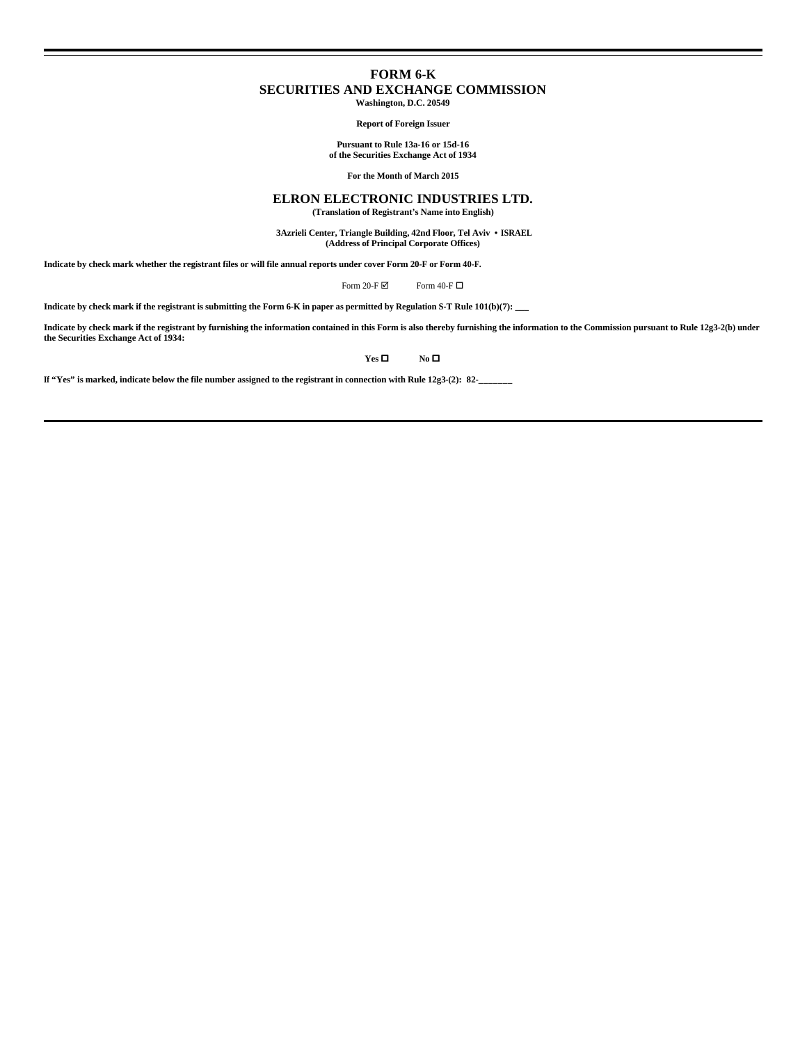## **FORM 6-K SECURITIES AND EXCHANGE COMMISSION Washington, D.C. 20549**

**Report of Foreign Issuer**

**Pursuant to Rule 13a-16 or 15d-16 of the Securities Exchange Act of 1934**

**For the Month of March 2015**

### **ELRON ELECTRONIC INDUSTRIES LTD.**

**(Translation of Registrant's Name into English)**

 **3Azrieli Center, Triangle Building, 42nd Floor, Tel Aviv • ISRAEL (Address of Principal Corporate Offices)**

**Indicate by check mark whether the registrant files or will file annual reports under cover Form 20-F or Form 40-F.**

Form 20-F  $\boxtimes$  Form 40-F  $\Box$ 

**Indicate by check mark if the registrant is submitting the Form 6-K in paper as permitted by Regulation S-T Rule 101(b)(7): \_\_\_**

Indicate by check mark if the registrant by furnishing the information contained in this Form is also thereby furnishing the information to the Commission pursuant to Rule 12g3-2(b) under<br>the Securities Exchange Act of 193

**Yes □ No □** 

**If "Yes" is marked, indicate below the file number assigned to the registrant in connection with Rule 12g3-(2): 82-\_\_\_\_\_\_\_**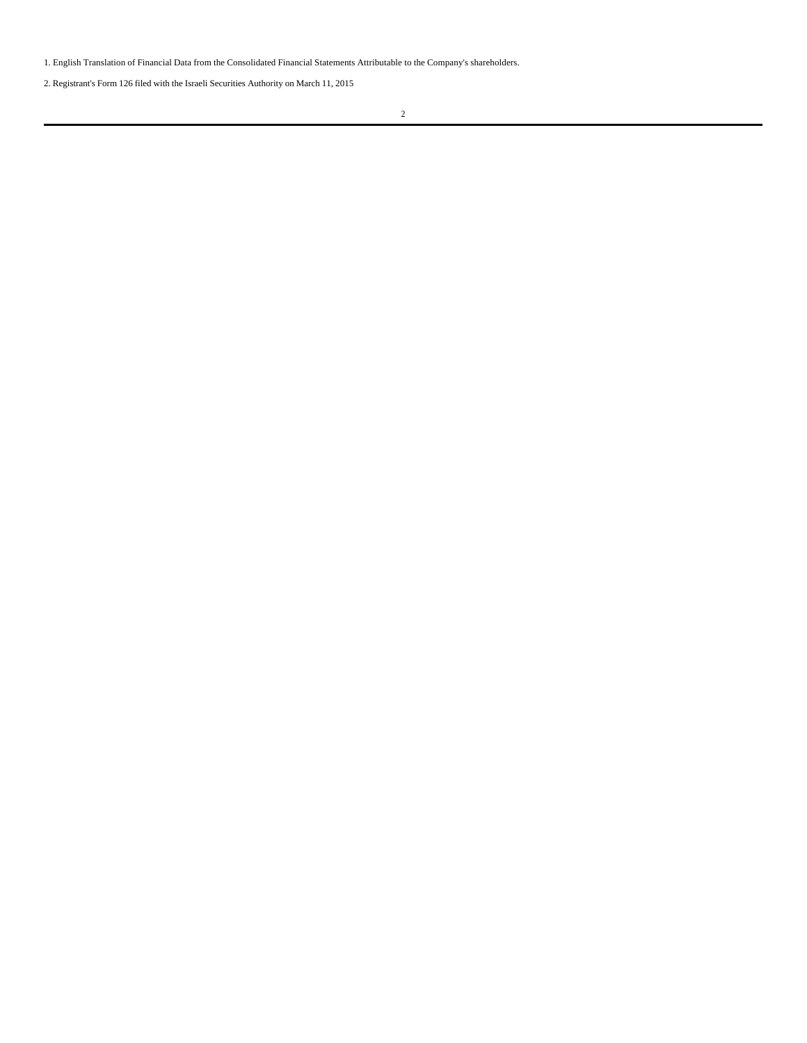1. English Translation of Financial Data from the Consolidated Financial Statements Attributable to the Company's shareholders.

2. Registrant's Form 126 filed with the Israeli Securities Authority on March 11, 2015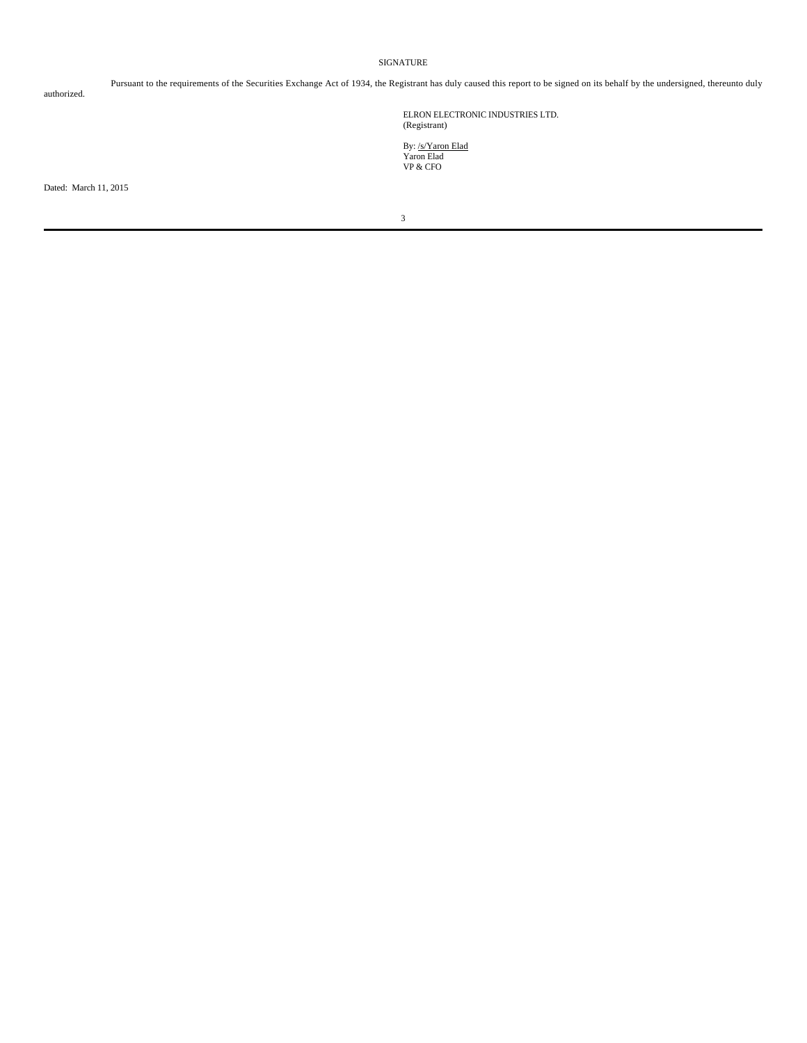#### SIGNATURE

authorized.

Pursuant to the requirements of the Securities Exchange Act of 1934, the Registrant has duly caused this report to be signed on its behalf by the undersigned, thereunto duly

ELRON ELECTRONIC INDUSTRIES LTD. (Registrant)

By: <u>/s/Yaron Elad</u><br>Yaron Elad<br>VP & CFO

Dated: March 11, 2015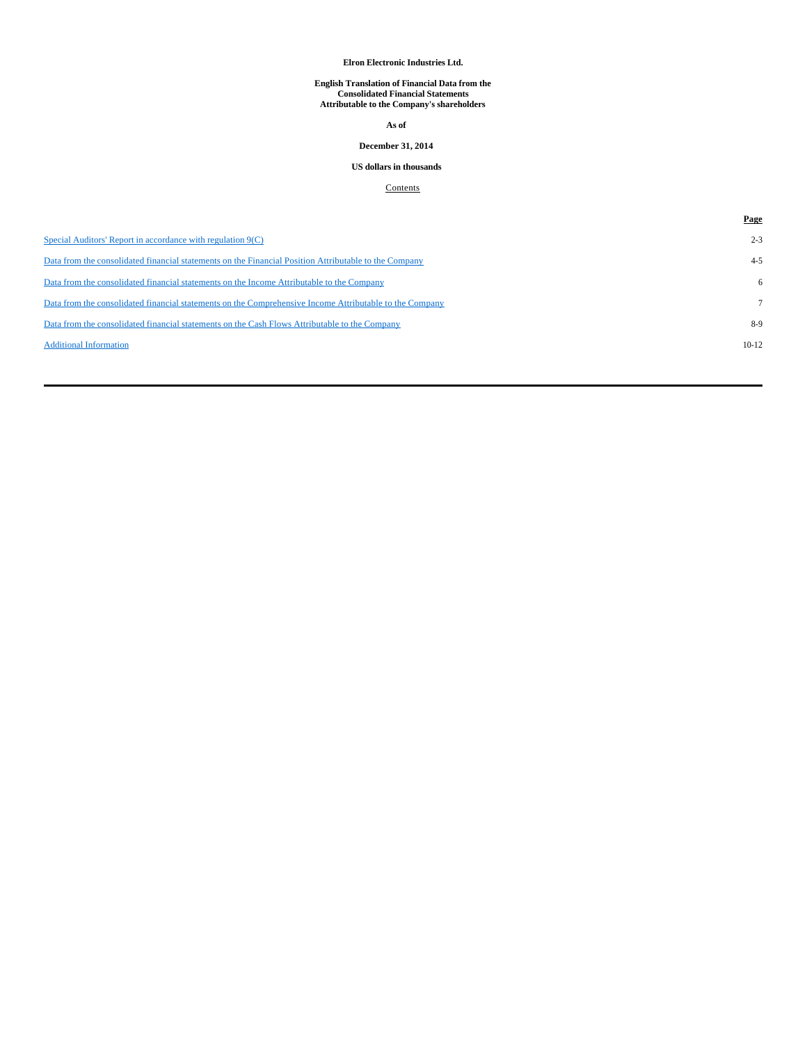#### **Elron Electronic Industries Ltd.**

# **English Translation of Financial Data from the Consolidated Financial Statements Attributable to the Company's shareholders**

**As of**

### **December 31, 2014**

## **US dollars in thousands**

## **Contents**

|                                                                                                         | Page    |
|---------------------------------------------------------------------------------------------------------|---------|
| Special Auditors' Report in accordance with regulation 9(C)                                             | $2 - 3$ |
| Data from the consolidated financial statements on the Financial Position Attributable to the Company   | $4 - 5$ |
| Data from the consolidated financial statements on the Income Attributable to the Company               | 6       |
| Data from the consolidated financial statements on the Comprehensive Income Attributable to the Company |         |
| Data from the consolidated financial statements on the Cash Flows Attributable to the Company           | $8-9$   |
| <b>Additional Information</b>                                                                           | $10-12$ |
|                                                                                                         |         |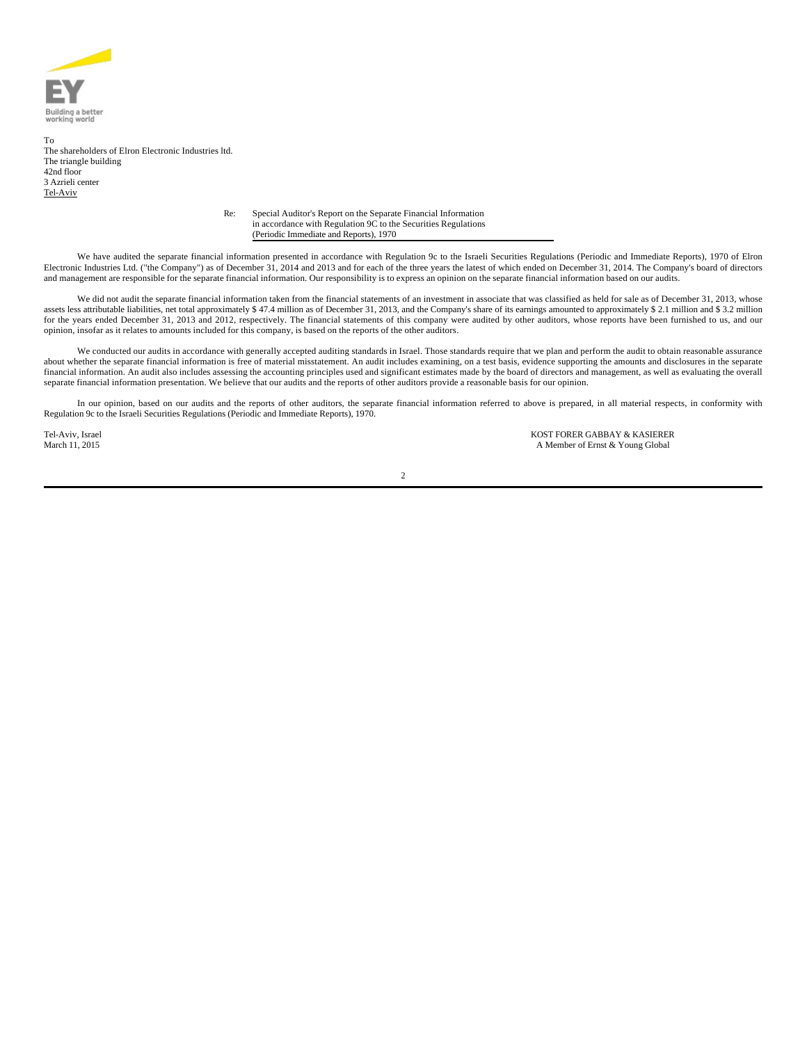

To The shareholders of Elron Electronic Industries ltd. The triangle building 42nd floor 3 Azrieli center Tel-Aviv

Re: Special Auditor's Report on the Separate Financial Information in accordance with Regulation 9C to the Securities Regulations (Periodic Immediate and Reports), 1970

We have audited the separate financial information presented in accordance with Regulation 9c to the Israeli Securities Regulations (Periodic and Immediate Reports), 1970 of Elron Electronic Industries Ltd. ("the Company") as of December 31, 2014 and 2013 and for each of the three years the latest of which ended on December 31, 2014. The Company's board of directors and management are responsible for the separate financial information. Our responsibility is to express an opinion on the separate financial information based on our audits.

We did not audit the separate financial information taken from the financial statements of an investment in associate that was classified as held for sale as of December 31, 2013, whose assets less attributable liabilities, net total approximately \$ 47.4 million as of December 31, 2013, and the Company's share of its earnings amounted to approximately \$ 2.1 million and \$ 3.2 million for the years ended December 31, 2013 and 2012, respectively. The financial statements of this company were audited by other auditors, whose reports have been furnished to us, and our opinion, insofar as it relates to amounts included for this company, is based on the reports of the other auditors.

We conducted our audits in accordance with generally accepted auditing standards in Israel. Those standards require that we plan and perform the audit to obtain reasonable assurance about whether the separate financial information is free of material misstatement. An audit includes examining, on a test basis, evidence supporting the amounts and disclosures in the separate financial information. An audit also includes assessing the accounting principles used and significant estimates made by the board of directors and management, as well as evaluating the overall separate financial information presentation. We believe that our audits and the reports of other auditors provide a reasonable basis for our opinion.

In our opinion, based on our audits and the reports of other auditors, the separate financial information referred to above is prepared, in all material respects, in conformity with Regulation 9c to the Israeli Securities Regulations (Periodic and Immediate Reports), 1970.

Tel-Aviv, Israel **KOST FORER GABBAY & KASIERER**<br>March 11, 2015 **March 2016** A Member of Ernst & Young Global A Member of Ernst & Young Global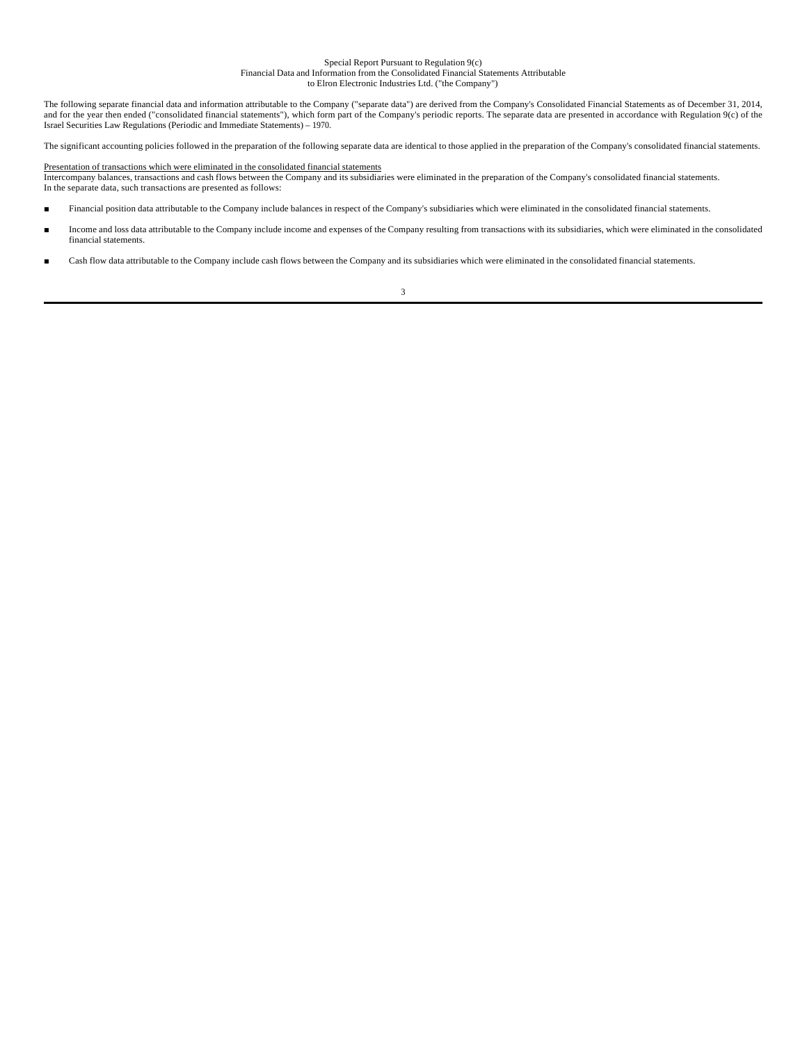#### Special Report Pursuant to Regulation 9(c) Financial Data and Information from the Consolidated Financial Statements Attributable to Elron Electronic Industries Ltd. ("the Company")

The following separate financial data and information attributable to the Company ("separate data") are derived from the Company's Consolidated Financial Statements as of December 31, 2014, and for the year then ended ("consolidated financial statements"), which form part of the Company's periodic reports. The separate data are presented in accordance with Regulation 9(c) of the Israel Securities Law Regulations (Periodic and Immediate Statements) – 1970.

The significant accounting policies followed in the preparation of the following separate data are identical to those applied in the preparation of the Company's consolidated financial statements.

Presentation of transactions which were eliminated in the consolidated financial statements Intercompany balances, transactions and cash flows between the Company and its subsidiaries were eliminated in the preparation of the Company's consolidated financial statements. In the separate data, such transactions are presented as follows:

- Financial position data attributable to the Company include balances in respect of the Company's subsidiaries which were eliminated in the consolidated financial statements.
- Income and loss data attributable to the Company include income and expenses of the Company resulting from transactions with its subsidiaries, which were eliminated in the consolidated financial statements.
- Cash flow data attributable to the Company include cash flows between the Company and its subsidiaries which were eliminated in the consolidated financial statements.

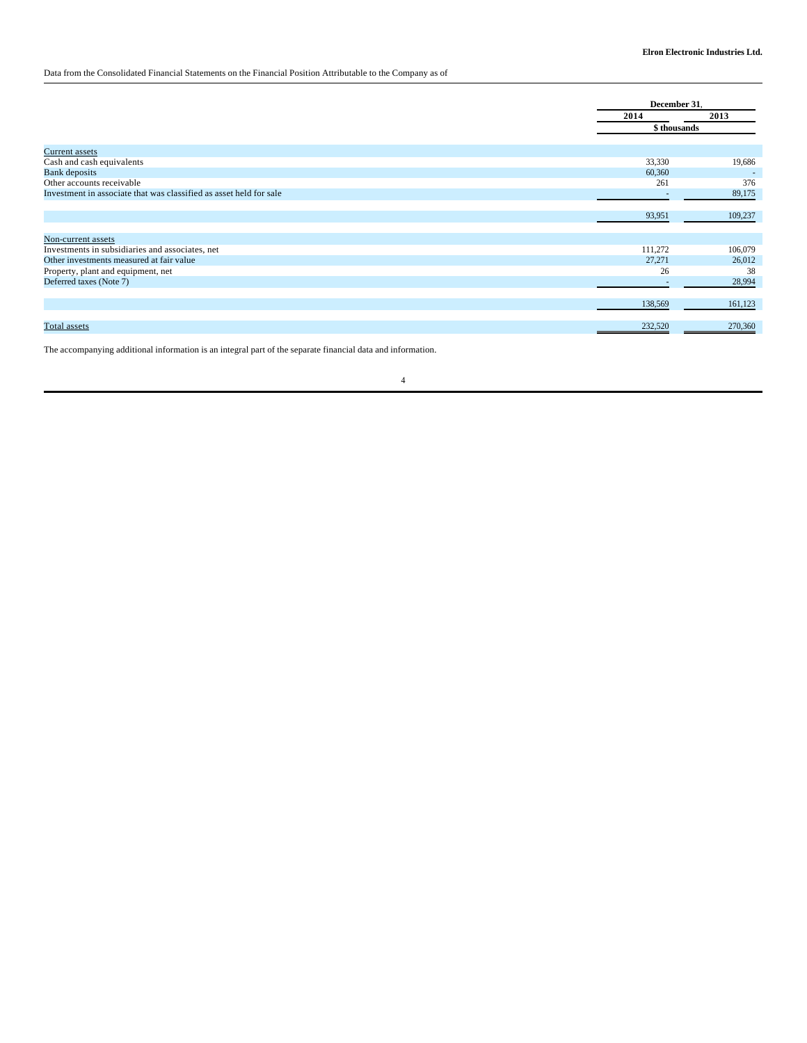## Data from the Consolidated Financial Statements on the Financial Position Attributable to the Company as of

|                                                                    |         | December 31. |
|--------------------------------------------------------------------|---------|--------------|
|                                                                    | 2014    | 2013         |
|                                                                    |         | \$ thousands |
| <b>Current assets</b>                                              |         |              |
| Cash and cash equivalents                                          | 33,330  | 19,686       |
| <b>Bank</b> deposits                                               | 60,360  |              |
| Other accounts receivable                                          | 261     | 376          |
| Investment in associate that was classified as asset held for sale |         | 89,175       |
|                                                                    |         |              |
|                                                                    | 93,951  | 109,237      |
|                                                                    |         |              |
| Non-current assets                                                 |         |              |
| Investments in subsidiaries and associates, net                    | 111,272 | 106,079      |
| Other investments measured at fair value                           | 27,271  | 26,012       |
| Property, plant and equipment, net                                 | 26      | 38           |
| Deferred taxes (Note 7)                                            |         | 28,994       |
|                                                                    |         |              |
|                                                                    | 138,569 | 161,123      |
|                                                                    |         |              |
| Total assets                                                       | 232,520 | 270,360      |

The accompanying additional information is an integral part of the separate financial data and information.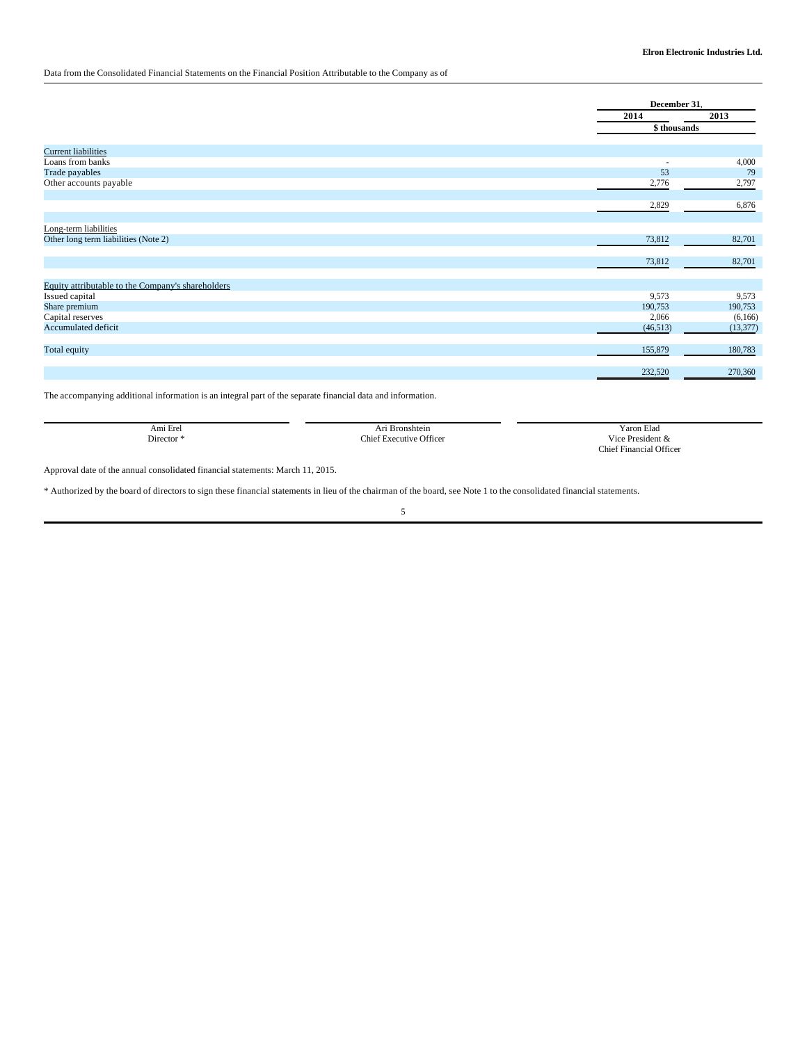## Data from the Consolidated Financial Statements on the Financial Position Attributable to the Company as of

|                                                   | December 31,             |           |
|---------------------------------------------------|--------------------------|-----------|
|                                                   | 2014                     | 2013      |
|                                                   | \$ thousands             |           |
| <b>Current liabilities</b>                        |                          |           |
| Loans from banks                                  | $\overline{\phantom{a}}$ | 4,000     |
| Trade payables                                    | 53                       | 79        |
| Other accounts payable                            | 2,776                    | 2,797     |
|                                                   |                          |           |
|                                                   | 2,829                    | 6,876     |
|                                                   |                          |           |
| Long-term liabilities                             |                          |           |
| Other long term liabilities (Note 2)              | 73,812                   | 82,701    |
|                                                   |                          |           |
|                                                   | 73,812                   | 82,701    |
|                                                   |                          |           |
| Equity attributable to the Company's shareholders |                          |           |
| Issued capital                                    | 9,573                    | 9,573     |
| Share premium                                     | 190,753                  | 190,753   |
| Capital reserves                                  | 2,066                    | (6,166)   |
| Accumulated deficit                               | (46, 513)                | (13, 377) |
| Total equity                                      | 155,879                  | 180,783   |
|                                                   | 232,520                  | 270,360   |

The accompanying additional information is an integral part of the separate financial data and information.

| Ami Erel  | Bronshtein<br>Ari       | <b>Yaron Elad</b>              |
|-----------|-------------------------|--------------------------------|
| Director* | Chief Executive Officer | Vice President &               |
|           |                         | <b>Chief Financial Officer</b> |

Approval date of the annual consolidated financial statements: March 11, 2015.

\* Authorized by the board of directors to sign these financial statements in lieu of the chairman of the board, see Note 1 to the consolidated financial statements.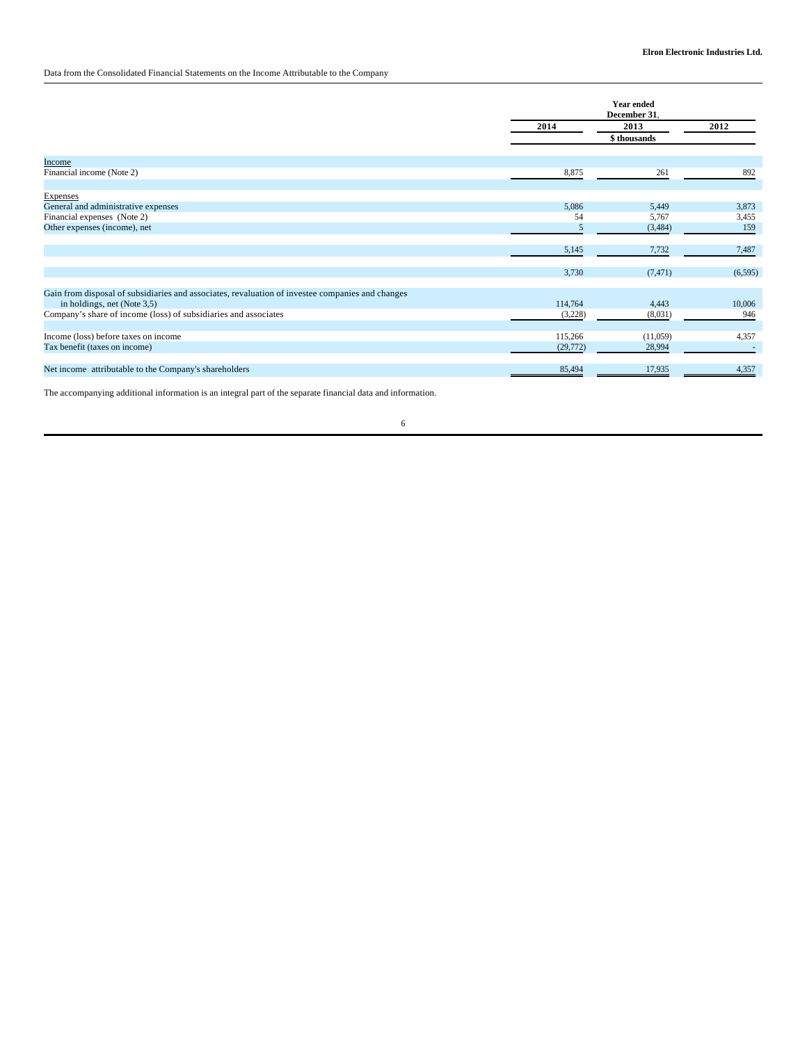Data from the Consolidated Financial Statements on the Income Attributable to the Company

|                                                                                                  |           | <b>Year ended</b><br>December 31. |          |  |
|--------------------------------------------------------------------------------------------------|-----------|-----------------------------------|----------|--|
|                                                                                                  | 2014      | 2013                              | 2012     |  |
|                                                                                                  |           | \$thousands                       |          |  |
| Income                                                                                           |           |                                   |          |  |
| Financial income (Note 2)                                                                        | 8,875     | 261                               | 892      |  |
| <b>Expenses</b>                                                                                  |           |                                   |          |  |
| General and administrative expenses                                                              | 5,086     | 5,449                             | 3,873    |  |
| Financial expenses (Note 2)                                                                      | 54        | 5,767                             | 3,455    |  |
| Other expenses (income), net                                                                     | 5         | (3,484)                           | 159      |  |
|                                                                                                  | 5,145     | 7,732                             | 7,487    |  |
|                                                                                                  | 3,730     | (7, 471)                          | (6, 595) |  |
| Gain from disposal of subsidiaries and associates, revaluation of investee companies and changes |           |                                   |          |  |
| in holdings, net (Note 3,5)                                                                      | 114,764   | 4,443                             | 10,006   |  |
| Company's share of income (loss) of subsidiaries and associates                                  | (3,228)   | (8,031)                           | 946      |  |
| Income (loss) before taxes on income                                                             | 115,266   | (11,059)                          | 4,357    |  |
| Tax benefit (taxes on income)                                                                    | (29, 772) | 28,994                            |          |  |
| Net income attributable to the Company's shareholders                                            | 85,494    | 17,935                            | 4,357    |  |
|                                                                                                  |           |                                   |          |  |

The accompanying additional information is an integral part of the separate financial data and information.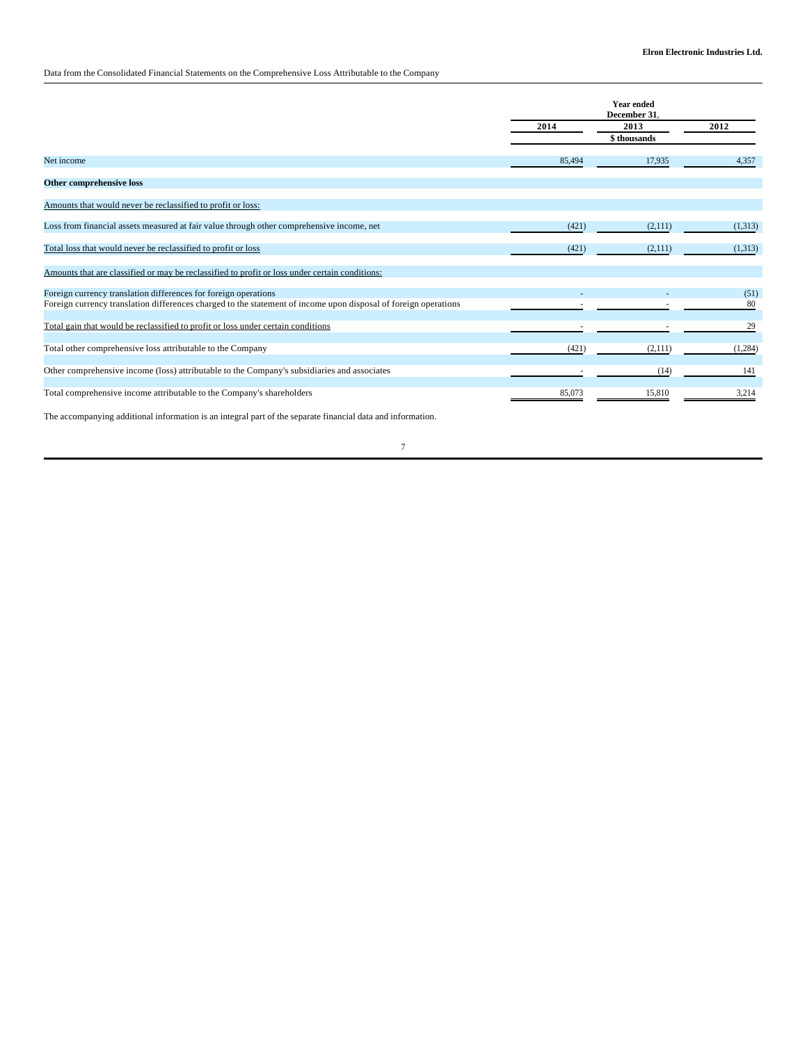## Data from the Consolidated Financial Statements on the Comprehensive Loss Attributable to the Company

|                                                                                                                 | <b>Year ended</b><br>December 31. |             |         |
|-----------------------------------------------------------------------------------------------------------------|-----------------------------------|-------------|---------|
|                                                                                                                 | 2014                              | 2013        | 2012    |
|                                                                                                                 |                                   | \$thousands |         |
| Net income                                                                                                      | 85,494                            | 17,935      | 4,357   |
| Other comprehensive loss                                                                                        |                                   |             |         |
| Amounts that would never be reclassified to profit or loss:                                                     |                                   |             |         |
| Loss from financial assets measured at fair value through other comprehensive income, net                       | (421)                             | (2,111)     | (1,313) |
| Total loss that would never be reclassified to profit or loss                                                   | (421)                             | (2,111)     | (1,313) |
| Amounts that are classified or may be reclassified to profit or loss under certain conditions:                  |                                   |             |         |
| Foreign currency translation differences for foreign operations                                                 |                                   |             | (51)    |
| Foreign currency translation differences charged to the statement of income upon disposal of foreign operations |                                   |             | 80      |
| Total gain that would be reclassified to profit or loss under certain conditions                                |                                   |             | 29      |
| Total other comprehensive loss attributable to the Company                                                      | (421)                             | (2,111)     | (1,284) |
| Other comprehensive income (loss) attributable to the Company's subsidiaries and associates                     |                                   | (14)        | 141     |
| Total comprehensive income attributable to the Company's shareholders                                           | 85,073                            | 15,810      | 3,214   |

The accompanying additional information is an integral part of the separate financial data and information.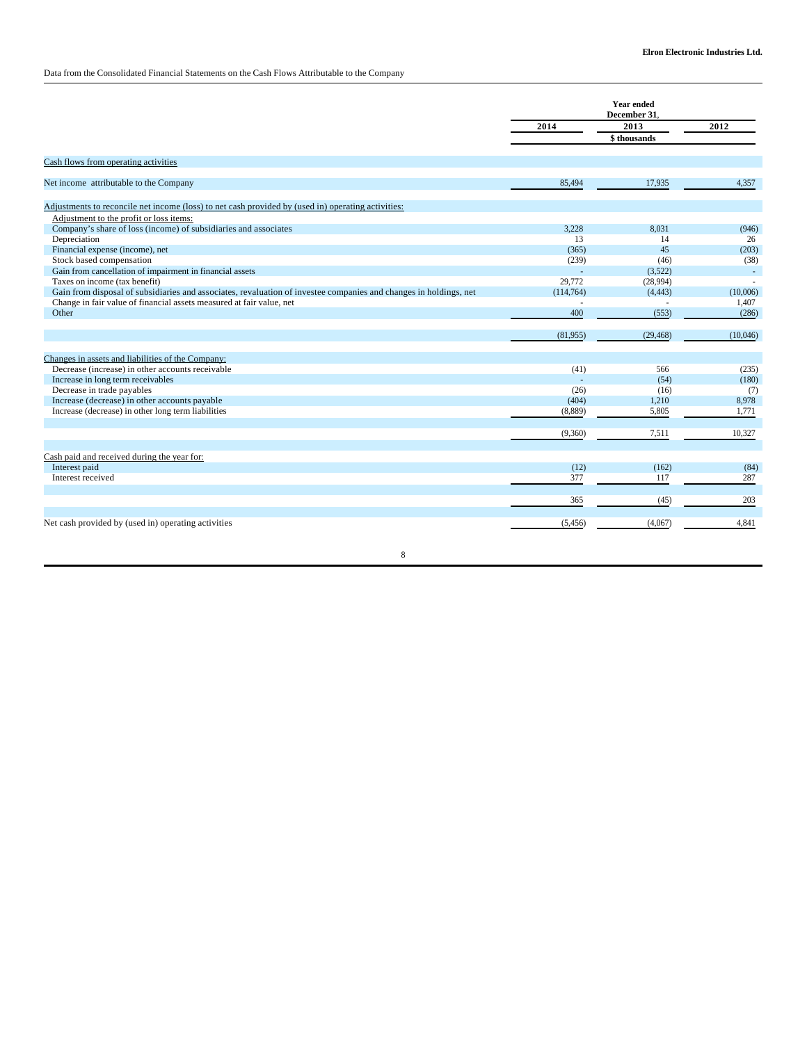## Data from the Consolidated Financial Statements on the Cash Flows Attributable to the Company

|                                                                                                                   | <b>Year ended</b><br>December 31. |             |               |
|-------------------------------------------------------------------------------------------------------------------|-----------------------------------|-------------|---------------|
|                                                                                                                   | 2014                              | 2013        | $\sqrt{2012}$ |
|                                                                                                                   |                                   | \$thousands |               |
| Cash flows from operating activities                                                                              |                                   |             |               |
| Net income attributable to the Company                                                                            | 85,494                            | 17,935      | 4,357         |
| Adjustments to reconcile net income (loss) to net cash provided by (used in) operating activities:                |                                   |             |               |
| Adjustment to the profit or loss items:                                                                           |                                   |             |               |
| Company's share of loss (income) of subsidiaries and associates                                                   | 3.228                             | 8.031       | (946)         |
| Depreciation                                                                                                      | 13                                | 14          | 26            |
| Financial expense (income), net                                                                                   | (365)                             | 45          | (203)         |
| Stock based compensation                                                                                          | (239)                             | (46)        | (38)          |
| Gain from cancellation of impairment in financial assets                                                          |                                   | (3,522)     |               |
| Taxes on income (tax benefit)                                                                                     | 29,772                            | (28,994)    |               |
| Gain from disposal of subsidiaries and associates, revaluation of investee companies and changes in holdings, net | (114, 764)                        | (4, 443)    | (10,006)      |
| Change in fair value of financial assets measured at fair value, net                                              |                                   |             | 1,407         |
| Other                                                                                                             | 400                               | (553)       | (286)         |
|                                                                                                                   | (81,955)                          | (29, 468)   | (10,046)      |
|                                                                                                                   |                                   |             |               |
| Changes in assets and liabilities of the Company:                                                                 |                                   |             |               |
| Decrease (increase) in other accounts receivable                                                                  | (41)                              | 566         | (235)         |
| Increase in long term receivables                                                                                 |                                   | (54)        | (180)         |
| Decrease in trade payables                                                                                        | (26)                              | (16)        | (7)           |
| Increase (decrease) in other accounts payable                                                                     | (404)                             | 1,210       | 8,978         |
| Increase (decrease) in other long term liabilities                                                                | (8,889)                           | 5,805       | 1,771         |
|                                                                                                                   | (9,360)                           | 7,511       | 10,327        |
|                                                                                                                   |                                   |             |               |
| Cash paid and received during the year for:                                                                       |                                   |             |               |
| Interest paid                                                                                                     | (12)                              | (162)       | (84)          |
| Interest received                                                                                                 | 377                               | 117         | 287           |
|                                                                                                                   | 365                               | (45)        | 203           |
|                                                                                                                   |                                   |             |               |
| Net cash provided by (used in) operating activities                                                               | (5, 456)                          | (4,067)     | 4,841         |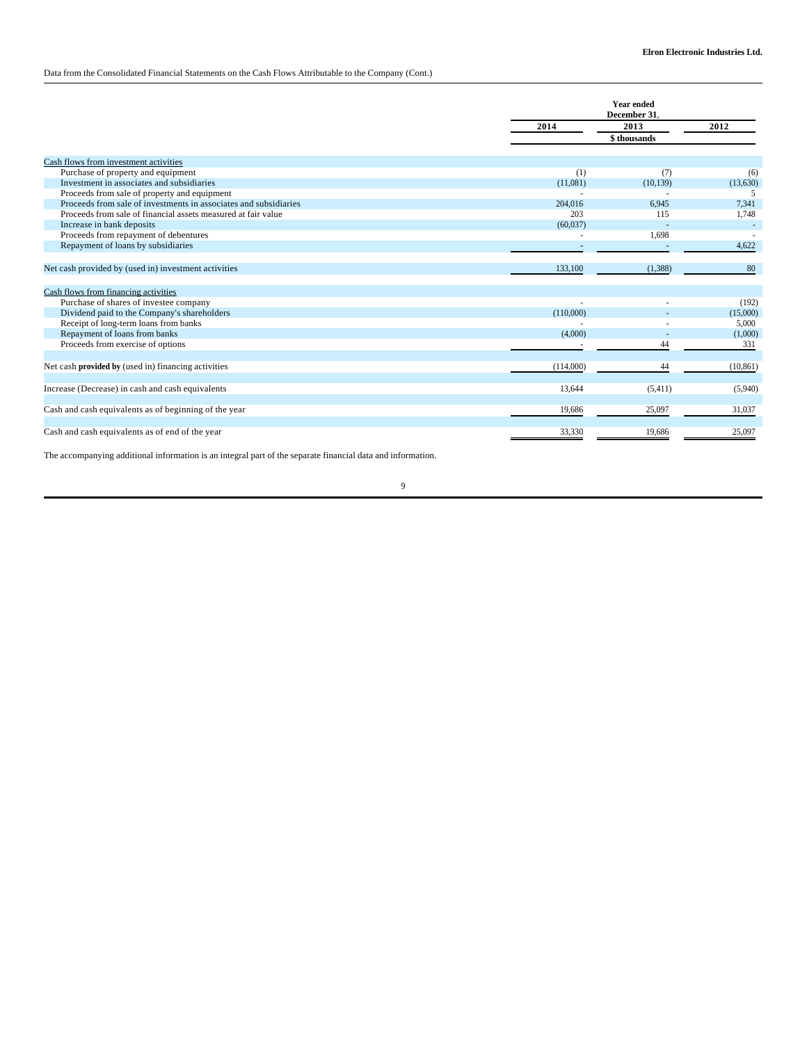## Data from the Consolidated Financial Statements on the Cash Flows Attributable to the Company (Cont.)

|                                                                  | <b>Year ended</b><br>December 31. |             |           |
|------------------------------------------------------------------|-----------------------------------|-------------|-----------|
|                                                                  | 2014                              | 2013        | 2012      |
|                                                                  |                                   | \$thousands |           |
| Cash flows from investment activities                            |                                   |             |           |
| Purchase of property and equipment                               | (1)                               | (7)         | (6)       |
| Investment in associates and subsidiaries                        | (11,081)                          | (10, 139)   | (13,630)  |
| Proceeds from sale of property and equipment                     |                                   |             | -5        |
| Proceeds from sale of investments in associates and subsidiaries | 204,016                           | 6.945       | 7.341     |
| Proceeds from sale of financial assets measured at fair value    | 203                               | 115         | 1,748     |
| Increase in bank deposits                                        | (60,037)                          |             |           |
| Proceeds from repayment of debentures                            |                                   | 1,698       |           |
| Repayment of loans by subsidiaries                               |                                   |             | 4.622     |
| Net cash provided by (used in) investment activities             | 133,100                           | (1,388)     | 80        |
| Cash flows from financing activities                             |                                   |             |           |
| Purchase of shares of investee company                           |                                   |             | (192)     |
| Dividend paid to the Company's shareholders                      | (110,000)                         |             | (15,000)  |
| Receipt of long-term loans from banks                            |                                   |             | 5,000     |
| Repayment of loans from banks                                    | (4,000)                           |             | (1,000)   |
| Proceeds from exercise of options                                |                                   | 44          | 331       |
| Net cash provided by (used in) financing activities              | (114,000)                         | 44          | (10, 861) |
| Increase (Decrease) in cash and cash equivalents                 | 13.644                            | (5,411)     | (5,940)   |
| Cash and cash equivalents as of beginning of the year            | 19,686                            | 25,097      | 31,037    |
| Cash and cash equivalents as of end of the year                  | 33,330                            | 19,686      | 25,097    |

The accompanying additional information is an integral part of the separate financial data and information.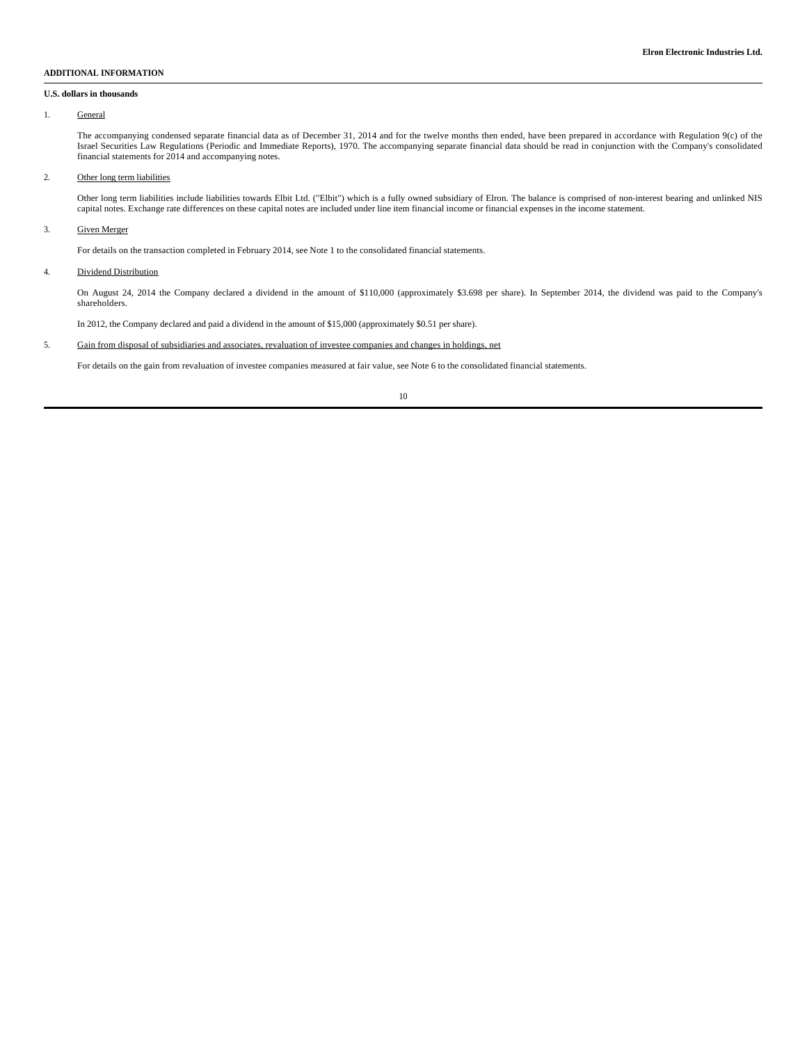#### **ADDITIONAL INFORMATION**

#### **U.S. dollars in thousands**

### 1. General

The accompanying condensed separate financial data as of December 31, 2014 and for the twelve months then ended, have been prepared in accordance with Regulation 9(c) of the Israel Securities Law Regulations (Periodic and Immediate Reports), 1970. The accompanying separate financial data should be read in conjunction with the Company's consolidated financial statements for 2014 and accompanying notes.

#### 2. Other long term liabilities

Other long term liabilities include liabilities towards Elbit Ltd. ("Elbit") which is a fully owned subsidiary of Elron. The balance is comprised of non-interest bearing and unlinked NIS capital notes. Exchange rate differences on these capital notes are included under line item financial income or financial expenses in the income statement.

### 3. Given Merger

For details on the transaction completed in February 2014, see Note 1 to the consolidated financial statements.

#### 4. Dividend Distribution

On August 24, 2014 the Company declared a dividend in the amount of \$110,000 (approximately \$3.698 per share). In September 2014, the dividend was paid to the Company's shareholders.

In 2012, the Company declared and paid a dividend in the amount of \$15,000 (approximately \$0.51 per share).

## 5. Gain from disposal of subsidiaries and associates, revaluation of investee companies and changes in holdings, net

For details on the gain from revaluation of investee companies measured at fair value, see Note 6 to the consolidated financial statements.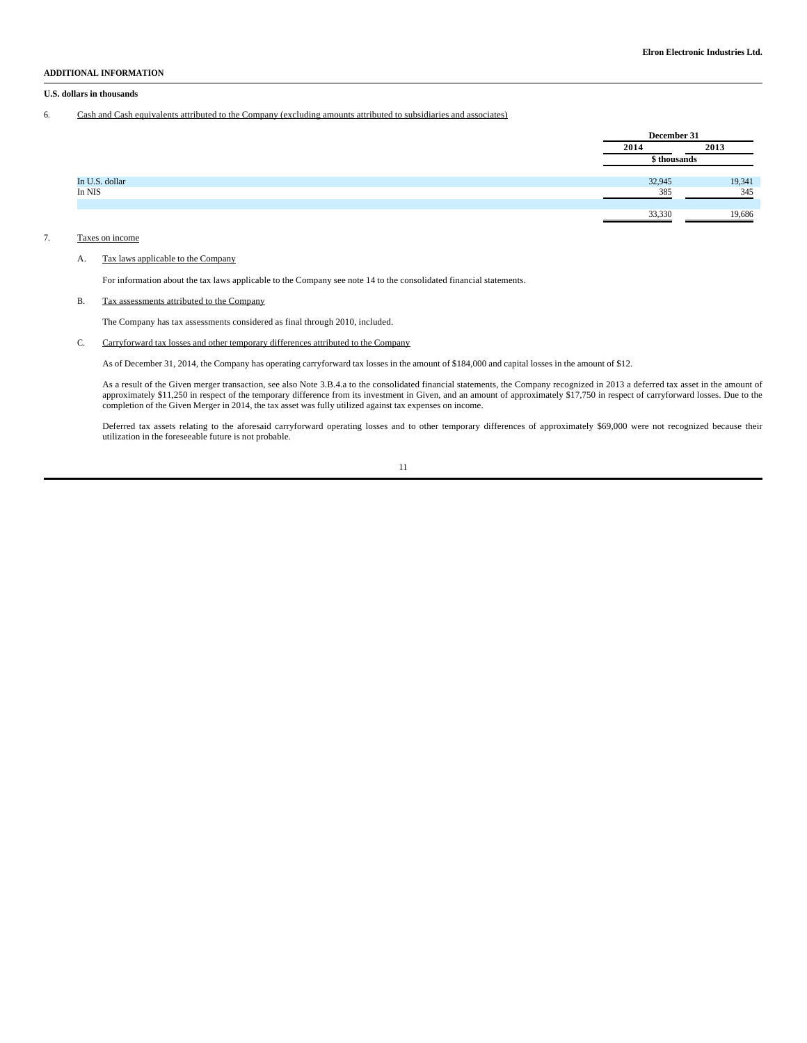#### **ADDITIONAL INFORMATION**

#### **U.S. dollars in thousands**

6. Cash and Cash equivalents attributed to the Company (excluding amounts attributed to subsidiaries and associates)

|                |        | December 31  |  |
|----------------|--------|--------------|--|
|                | 2014   | 2013         |  |
|                |        | \$ thousands |  |
| In U.S. dollar | 32,945 | 19,341       |  |
| In NIS         | 385    | 345          |  |
|                | 33,330 | 19,686       |  |
|                |        |              |  |

#### 7. Taxes on income

### A. Tax laws applicable to the Company

For information about the tax laws applicable to the Company see note 14 to the consolidated financial statements.

#### B. Tax assessments attributed to the Company

The Company has tax assessments considered as final through 2010, included.

#### C. Carryforward tax losses and other temporary differences attributed to the Company

As of December 31, 2014, the Company has operating carryforward tax losses in the amount of \$184,000 and capital losses in the amount of \$12.

As a result of the Given merger transaction, see also Note 3.B.4.a to the consolidated financial statements, the Company recognized in 2013 a deferred tax asset in the amount of approximately \$11,250 in respect of the temporary difference from its investment in Given, and an amount of approximately \$17,750 in respect of carryforward losses. Due to the completion of the Given Merger in 2014, the tax asset was fully utilized against tax expenses on income.

Deferred tax assets relating to the aforesaid carryforward operating losses and to other temporary differences of approximately \$69,000 were not recognized because their utilization in the foreseeable future is not probable.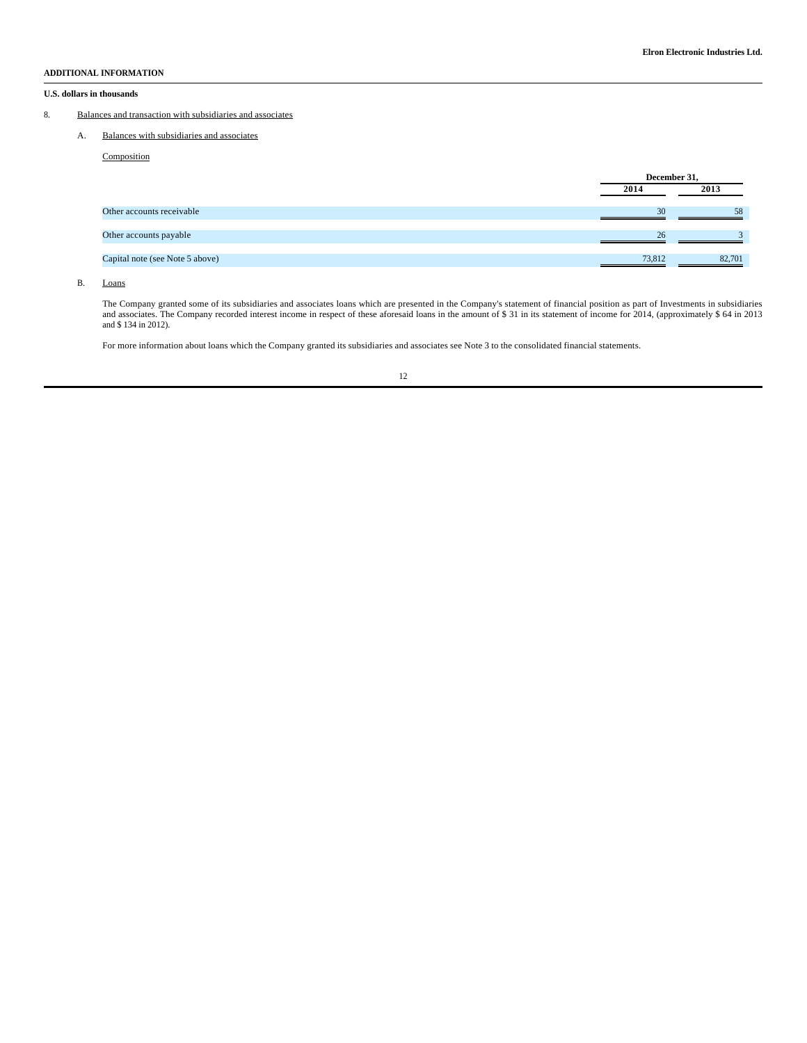### **ADDITIONAL INFORMATION**

#### **U.S. dollars in thousands**

### 8. Balances and transaction with subsidiaries and associates

A. Balances with subsidiaries and associates

**Composition** 

|                                 | December 31, |        |
|---------------------------------|--------------|--------|
|                                 | 2014         | 2013   |
| Other accounts receivable       | 30           | 58     |
| Other accounts payable          | 26           |        |
| Capital note (see Note 5 above) | 73,812       | 82,701 |

B. Loans

The Company granted some of its subsidiaries and associates loans which are presented in the Company's statement of financial position as part of Investments in subsidiaries and associates. The Company recorded interest in

For more information about loans which the Company granted its subsidiaries and associates see Note 3 to the consolidated financial statements.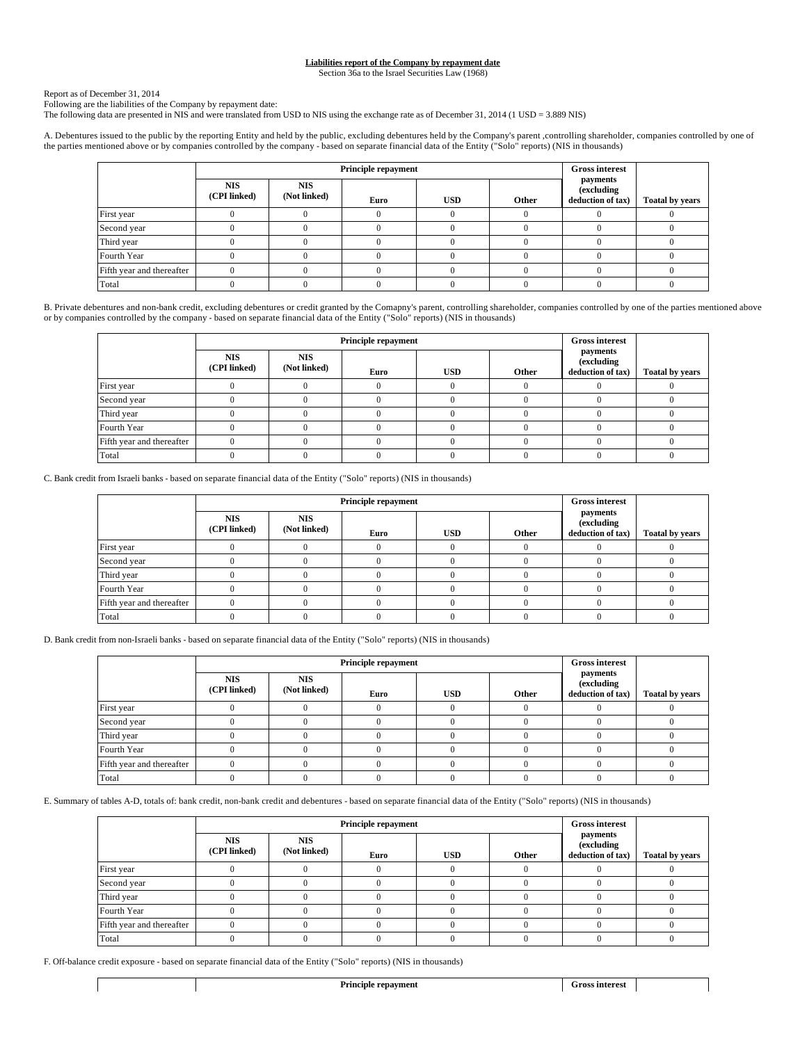#### **Liabilities report of the Company by repayment date**

Section 36a to the Israel Securities Law (1968)

Report as of December 31, 2014

Following are the liabilities of the Company by repayment date: The following data are presented in NIS and were translated from USD to NIS using the exchange rate as of December 31, 2014 (1 USD = 3.889 NIS)

 A. Debentures issued to the public by the reporting Entity and held by the public, excluding debentures held by the Company's parent ,controlling shareholder, companies controlled by one of the parties mentioned above or by companies controlled by the company - based on separate financial data of the Entity ("Solo" reports) (NIS in thousands)

|                           | <b>Principle repayment</b> |                            |      |            |       | <b>Gross interest</b>                               |                        |
|---------------------------|----------------------------|----------------------------|------|------------|-------|-----------------------------------------------------|------------------------|
|                           | <b>NIS</b><br>(CPI linked) | <b>NIS</b><br>(Not linked) | Euro | <b>USD</b> | Other | payments<br><i>(excluding)</i><br>deduction of tax) | <b>Toatal by years</b> |
| First year                |                            |                            |      |            |       |                                                     |                        |
| Second year               |                            |                            |      |            |       |                                                     |                        |
| Third year                |                            |                            |      |            |       |                                                     |                        |
| Fourth Year               |                            |                            |      |            |       |                                                     |                        |
| Fifth year and thereafter |                            |                            |      |            |       |                                                     |                        |
| Total                     |                            |                            |      |            |       |                                                     |                        |

B. Private debentures and non-bank credit, excluding debentures or credit granted by the Comapny's parent, controlling shareholder, companies controlled by one of the parties mentioned above or by companies controlled by the company - based on separate financial data of the Entity ("Solo" reports) (NIS in thousands)

|                           |                            |                            | <b>Gross interest</b><br><b>Principle repayment</b> |            |       |                                             |                        |
|---------------------------|----------------------------|----------------------------|-----------------------------------------------------|------------|-------|---------------------------------------------|------------------------|
|                           | <b>NIS</b><br>(CPI linked) | <b>NIS</b><br>(Not linked) | Euro                                                | <b>USD</b> | Other | payments<br>(excluding<br>deduction of tax) | <b>Toatal by years</b> |
| First year                |                            |                            |                                                     |            |       |                                             |                        |
| Second year               |                            |                            |                                                     |            |       |                                             |                        |
| Third year                |                            |                            |                                                     |            |       |                                             |                        |
| Fourth Year               |                            |                            |                                                     |            |       |                                             |                        |
| Fifth year and thereafter |                            |                            |                                                     |            |       |                                             |                        |
| Total                     |                            |                            |                                                     |            |       |                                             |                        |

C. Bank credit from Israeli banks - based on separate financial data of the Entity ("Solo" reports) (NIS in thousands)

|                           |                            | <b>Principle repayment</b> | <b>Gross interest</b> |            |       |                                                     |                        |
|---------------------------|----------------------------|----------------------------|-----------------------|------------|-------|-----------------------------------------------------|------------------------|
|                           | <b>NIS</b><br>(CPI linked) | <b>NIS</b><br>(Not linked) | Euro                  | <b>USD</b> | Other | payments<br><i>(excluding)</i><br>deduction of tax) | <b>Toatal by years</b> |
| First year                |                            |                            |                       |            |       |                                                     |                        |
| Second year               |                            |                            |                       |            |       |                                                     |                        |
| Third year                |                            |                            |                       |            |       |                                                     |                        |
| Fourth Year               |                            |                            |                       |            |       |                                                     |                        |
| Fifth year and thereafter |                            |                            |                       |            |       |                                                     |                        |
| Total                     |                            |                            |                       |            |       |                                                     |                        |

D. Bank credit from non-Israeli banks - based on separate financial data of the Entity ("Solo" reports) (NIS in thousands)

|                           |                            | <b>Principle repayment</b> | <b>Gross interest</b> |            |       |                                             |                        |
|---------------------------|----------------------------|----------------------------|-----------------------|------------|-------|---------------------------------------------|------------------------|
|                           | <b>NIS</b><br>(CPI linked) | <b>NIS</b><br>(Not linked) | Euro                  | <b>USD</b> | Other | payments<br>(excluding<br>deduction of tax) | <b>Toatal by years</b> |
| First year                |                            |                            |                       |            |       |                                             |                        |
| Second year               |                            |                            |                       |            |       |                                             |                        |
| Third year                |                            |                            |                       |            |       |                                             |                        |
| Fourth Year               |                            |                            |                       |            |       |                                             |                        |
| Fifth year and thereafter |                            |                            |                       |            |       |                                             |                        |
| Total                     |                            |                            |                       |            |       |                                             |                        |

E. Summary of tables A-D, totals of: bank credit, non-bank credit and debentures - based on separate financial data of the Entity ("Solo" reports) (NIS in thousands)

|                           |                            | <b>Principle repayment</b> | <b>Gross interest</b> |            |       |                                             |                        |
|---------------------------|----------------------------|----------------------------|-----------------------|------------|-------|---------------------------------------------|------------------------|
|                           | <b>NIS</b><br>(CPI linked) | <b>NIS</b><br>(Not linked) | Euro                  | <b>USD</b> | Other | payments<br>(excluding<br>deduction of tax) | <b>Toatal by years</b> |
| First year                |                            |                            |                       |            |       |                                             |                        |
| Second year               |                            |                            |                       |            |       |                                             |                        |
| Third year                |                            |                            |                       |            |       |                                             |                        |
| Fourth Year               |                            |                            |                       |            |       |                                             |                        |
| Fifth year and thereafter |                            |                            |                       |            |       |                                             |                        |
| Total                     |                            |                            |                       |            |       |                                             |                        |

F. Off-balance credit exposure - based on separate financial data of the Entity ("Solo" reports) (NIS in thousands)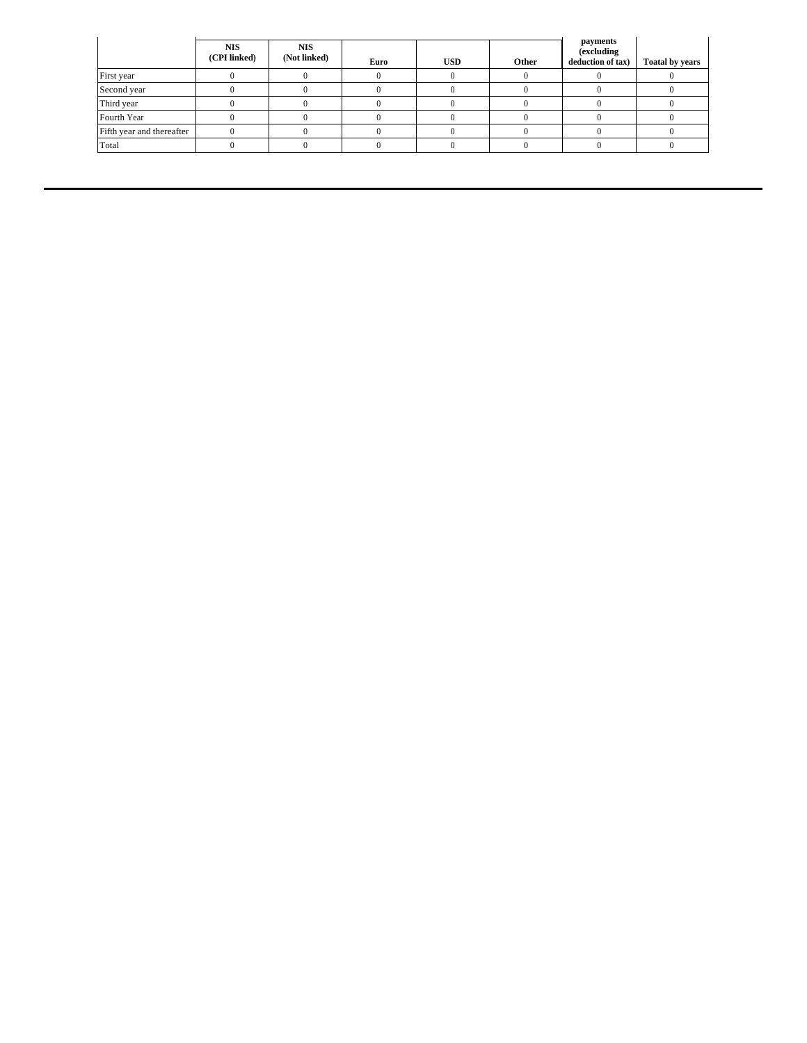|                           | <b>NIS</b><br>(CPI linked) | <b>NIS</b><br>(Not linked) | Euro | <b>USD</b> | Other | payments<br>(excluding<br>deduction of tax) | <b>Toatal by years</b> |
|---------------------------|----------------------------|----------------------------|------|------------|-------|---------------------------------------------|------------------------|
| First year                |                            |                            |      |            |       |                                             |                        |
| Second year               |                            |                            |      |            |       |                                             |                        |
| Third year                |                            |                            |      |            |       |                                             |                        |
| Fourth Year               |                            |                            |      |            |       |                                             |                        |
| Fifth year and thereafter |                            |                            |      |            |       |                                             |                        |
| Total                     |                            |                            |      |            |       |                                             |                        |